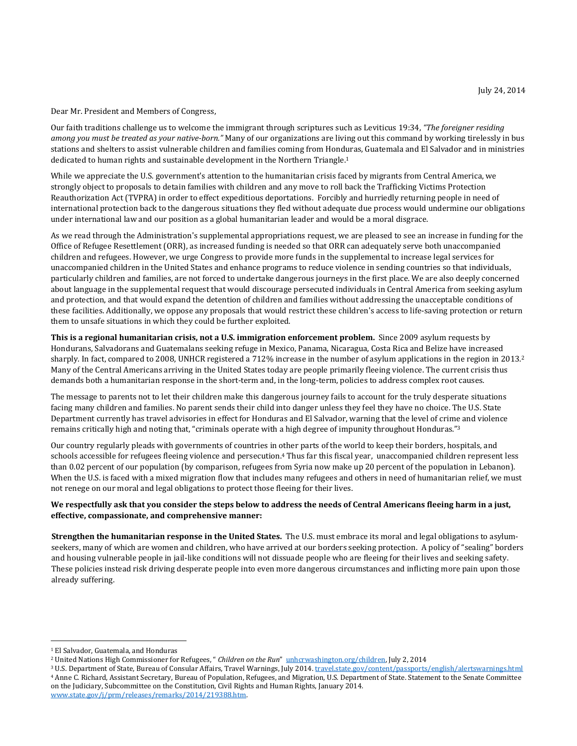Dear Mr. President and Members of Congress,

Our faith traditions challenge us to welcome the immigrant through scriptures such as Leviticus 19:34, *"The foreigner residing among you must be treated as your native-born."* Many of our organizations are living out this command by working tirelessly in bus stations and shelters to assist vulnerable children and families coming from Honduras, Guatemala and El Salvador and in ministries dedicated to human rights and sustainable development in the Northern Triangle.<sup>1</sup>

While we appreciate the U.S. government's attention to the humanitarian crisis faced by migrants from Central America, we strongly object to proposals to detain families with children and any move to roll back the Trafficking Victims Protection Reauthorization Act (TVPRA) in order to effect expeditious deportations. Forcibly and hurriedly returning people in need of international protection back to the dangerous situations they fled without adequate due process would undermine our obligations under international law and our position as a global humanitarian leader and would be a moral disgrace.

As we read through the Administration's supplemental appropriations request, we are pleased to see an increase in funding for the Office of Refugee Resettlement (ORR), as increased funding is needed so that ORR can adequately serve both unaccompanied children and refugees. However, we urge Congress to provide more funds in the supplemental to increase legal services for unaccompanied children in the United States and enhance programs to reduce violence in sending countries so that individuals, particularly children and families, are not forced to undertake dangerous journeys in the first place. We are also deeply concerned about language in the supplemental request that would discourage persecuted individuals in Central America from seeking asylum and protection, and that would expand the detention of children and families without addressing the unacceptable conditions of these facilities. Additionally, we oppose any proposals that would restrict these children's access to life-saving protection or return them to unsafe situations in which they could be further exploited.

**This is a regional humanitarian crisis, not a U.S. immigration enforcement problem.** Since 2009 asylum requests by Hondurans, Salvadorans and Guatemalans seeking refuge in Mexico, Panama, Nicaragua, Costa Rica and Belize have increased sharply. In fact, compared to 2008, UNHCR registered a 712% increase in the number of asylum applications in the region in 2013. 2 Many of the Central Americans arriving in the United States today are people primarily fleeing violence. The current crisis thus demands both a humanitarian response in the short-term and, in the long-term, policies to address complex root causes.

The message to parents not to let their children make this dangerous journey fails to account for the truly desperate situations facing many children and families. No parent sends their child into danger unless they feel they have no choice. The U.S. State Department currently has travel advisories in effect for Honduras and El Salvador, warning that the level of crime and violence remains critically high and noting that, "criminals operate with a high degree of impunity throughout Honduras."<sup>3</sup>

Our country regularly pleads with governments of countries in other parts of the world to keep their borders, hospitals, and schools accessible for refugees fleeing violence and persecution. <sup>4</sup> Thus far this fiscal year, unaccompanied children represent less than 0.02 percent of our population (by comparison, refugees from Syria now make up 20 percent of the population in Lebanon). When the U.S. is faced with a mixed migration flow that includes many refugees and others in need of humanitarian relief, we must not renege on our moral and legal obligations to protect those fleeing for their lives.

# We respectfully ask that you consider the steps below to address the needs of Central Americans fleeing harm in a just, **effective, compassionate, and comprehensive manner:**

**Strengthen the humanitarian response in the United States.** The U.S. must embrace its moral and legal obligations to asylumseekers, many of which are women and children, who have arrived at our borders seeking protection. A policy of "sealing" borders and housing vulnerable people in jail-like conditions will not dissuade people who are fleeing for their lives and seeking safety. These policies instead risk driving desperate people into even more dangerous circumstances and inflicting more pain upon those already suffering.

<sup>1</sup> El Salvador, Guatemala, and Honduras

<sup>2</sup> United Nations High Commissioner for Refugees, " *Children on the Run*" [unhcrwashington.org/children,](http://unhcrwashington.org/children) July 2, 2014

<sup>&</sup>lt;sup>3</sup> U.S. Department of State, Bureau of Consular Affairs, Travel Warnings, July 2014. *[travel.state.gov/content/passports/english/alertswarnings.html](http://travel.state.gov/content/passports/english/alertswarnings.html)* <sup>4</sup> Anne C. Richard, Assistant Secretary, Bureau of Population, Refugees, and Migration, U.S. Department of State. Statement to the Senate Committee on the Judiciary, Subcommittee on the Constitution, Civil Rights and Human Rights, January 2014. [www.state.gov/j/prm/releases/remarks/2014/219388.htm.](http://www.state.gov/j/prm/releases/remarks/2014/219388.htm)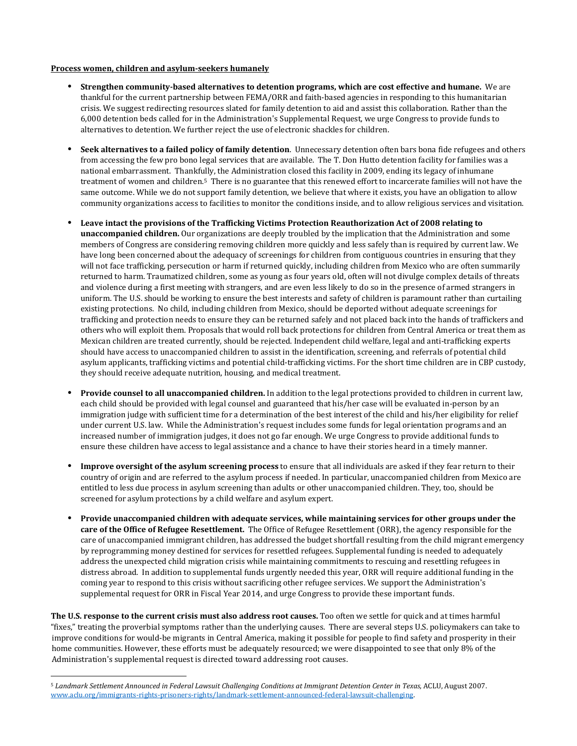### **Process women, children and asylum-seekers humanely**

- **• Strengthen community-based alternatives to detention programs, which are cost effective and humane.** We are thankful for the current partnership between FEMA/ORR and faith-based agencies in responding to this humanitarian crisis. We suggest redirecting resources slated for family detention to aid and assist this collaboration. Rather than the 6,000 detention beds called for in the Administration's Supplemental Request, we urge Congress to provide funds to alternatives to detention. We further reject the use of electronic shackles for children.
- **• Seek alternatives to <sup>a</sup> failed policy of family detention**. Unnecessary detention often bars bona fide refugees and others from accessing the few pro bono legal services that are available. The T. Don Hutto detention facility for families was a national embarrassment. Thankfully, the Administration closed this facility in 2009, ending its legacy of inhumane treatment of women and children.<sup>5</sup> There is no guarantee that this renewed effort to incarcerate families will not have the same outcome. While we do not support family detention, we believe that where it exists, you have an obligation to allow community organizations access to facilities to monitor the conditions inside, and to allow religious services and visitation.
- **• Leave intact the provisions of the Trafficking Victims Protection Reauthorization Act of 2008 relating to unaccompanied children.** Our organizations are deeply troubled by the implication that the Administration and some members of Congress are considering removing children more quickly and less safely than is required by current law. We have long been concerned about the adequacy of screenings for children from contiguous countries in ensuring that they will not face trafficking, persecution or harm if returned quickly, including children from Mexico who are often summarily returned to harm. Traumatized children, some as young as four years old, often will not divulge complex details of threats and violence during a first meeting with strangers, and are even less likely to do so in the presence of armed strangers in uniform. The U.S. should be working to ensure the best interests and safety of children is paramount rather than curtailing existing protections. No child, including children from Mexico, should be deported without adequate screenings for trafficking and protection needs to ensure they can be returned safely and not placed back into the hands of traffickers and others who will exploit them. Proposals that would roll back protections for children from Central America or treat them as Mexican children are treated currently, should be rejected. Independent child welfare, legal and anti-trafficking experts should have access to unaccompanied children to assist in the identification, screening, and referrals of potential child asylum applicants, trafficking victims and potential child-trafficking victims. For the short time children are in CBP custody, they should receive adequate nutrition, housing, and medical treatment.
- **• Provide counsel to all unaccompanied children.** In addition to the legal protections provided to children in current law, each child should be provided with legal counsel and guaranteed that his/her case will be evaluated in-person by an immigration judge with sufficient time for a determination of the best interest of the child and his/her eligibility for relief under current U.S. law. While the Administration's request includes some funds for legal orientation programs and an increased number of immigration judges, it does not go far enough. We urge Congress to provide additional funds to ensure these children have access to legal assistance and a chance to have their stories heard in a timely manner.
- **• Improve oversight of the asylum screening process** to ensure that all individuals are asked if they fear return to their country of origin and are referred to the asylum process if needed. In particular, unaccompanied children from Mexico are entitled to less due process in asylum screening than adults or other unaccompanied children. They, too, should be screened for asylum protections by a child welfare and asylum expert.
- **• Provide unaccompanied children with adequate services, while maintaining services for other groups under the care of the Office of Refugee Resettlement.** The Office of Refugee Resettlement (ORR), the agency responsible for the care of unaccompanied immigrant children, has addressed the budget shortfall resulting from the child migrant emergency by reprogramming money destined for services for resettled refugees. Supplemental funding is needed to adequately address the unexpected child migration crisis while maintaining commitments to rescuing and resettling refugees in distress abroad. In addition to supplemental funds urgently needed this year, ORR will require additional funding in the coming year to respond to this crisis without sacrificing other refugee services. We support the Administration's supplemental request for ORR in Fiscal Year 2014, and urge Congress to provide these important funds.

**The U.S. response to the current crisis must also address root causes.** Too often we settle for quick and at times harmful "fixes," treating the proverbial symptoms rather than the underlying causes. There are several steps U.S. policymakers can take to improve conditions for would-be migrants in Central America, making it possible for people to find safety and prosperity in their home communities. However, these efforts must be adequately resourced; we were disappointed to see that only 8% of the Administration's supplemental request is directed toward addressing root causes.

<sup>5</sup> *Landmark Settlement Announced in Federal Lawsuit Challenging Conditions at Immigrant Detention Center in Texas*, ACLU, August 2007. [www.aclu.org/immigrants-rights-prisoners-rights/landmark-settlement-announced-federal-lawsuit-challenging.](http://www.aclu.org/immigrants-rights-prisoners-rights/landmark-settlement-announced-federal-lawsuit-challenging)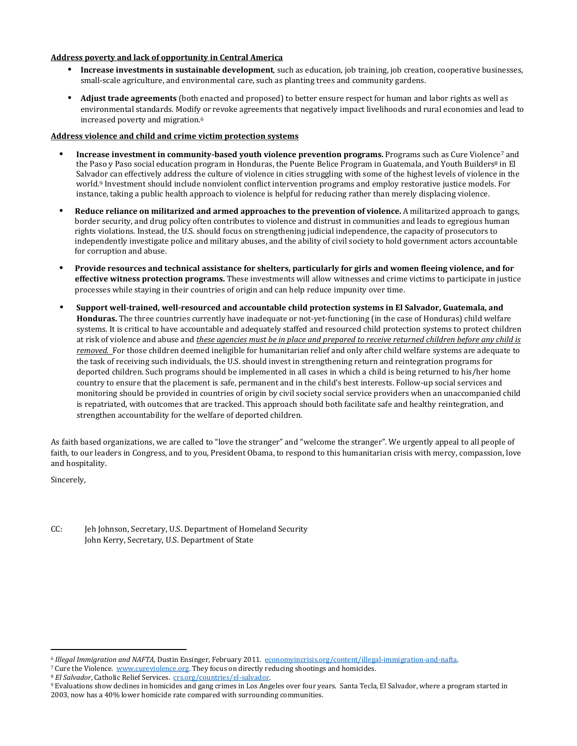# **Address poverty and lack of opportunity in Central America**

- **• Increase investments in sustainable development**, such as education, job training, job creation, cooperative businesses, small-scale agriculture, and environmental care, such as planting trees and community gardens.
- **• Adjust trade agreements** (both enacted and proposed) to better ensure respect for human and labor rights as well as environmental standards. Modify or revoke agreements that negatively impact livelihoods and rural economies and lead to increased poverty and migration.<sup>6</sup>

### **Address violence and child and crime victim protection systems**

- **• Increase investment in community-based youth violence prevention programs.** Programs such as Cure Violence<sup>7</sup> and the Paso y Paso social education program in Honduras, the Puente Belice Program in Guatemala, and Youth Builders<sup>8</sup> in El Salvador can effectively address the culture of violence in cities struggling with some of the highest levels of violence in the world.<sup>9</sup> Investment should include nonviolent conflict intervention programs and employ restorative justice models. For instance, taking a public health approach to violence is helpful for reducing rather than merely displacing violence.
- **• Reduce reliance on militarized and armed approaches to the prevention of violence.** <sup>A</sup> militarized approach to gangs, border security, and drug policy often contributes to violence and distrust in communities and leads to egregious human rights violations. Instead, the U.S. should focus on strengthening judicial independence, the capacity of prosecutors to independently investigate police and military abuses, and the ability of civil society to hold government actors accountable for corruption and abuse.
- **• Provide resources and technical assistance for shelters, particularly for girls and women fleeing violence, and for effective witness protection programs.** These investments will allow witnesses and crime victims to participate in justice processes while staying in their countries of origin and can help reduce impunity over time.
- **• Support well-trained, well-resourced and accountable child protection systems in El Salvador, Guatemala, and Honduras.** The three countries currently have inadequate or not-yet-functioning (in the case of Honduras) child welfare systems. It is critical to have accountable and adequately staffed and resourced child protection systems to protect children at risk of violence and abuse and *these agencies must be in place and prepared to receive returned children before any child is removed.* For those children deemed ineligible for humanitarian relief and only after child welfare systems are adequate to the task of receiving such individuals, the U.S. should invest in strengthening return and reintegration programs for deported children. Such programs should be implemented in all cases in which a child is being returned to his/her home country to ensure that the placement is safe, permanent and in the child's best interests. Follow-up social services and monitoring should be provided in countries of origin by civil society social service providers when an unaccompanied child is repatriated, with outcomes that are tracked. This approach should both facilitate safe and healthy reintegration, and strengthen accountability for the welfare of deported children.

As faith based organizations, we are called to "love the stranger" and "welcome the stranger". We urgently appeal to all people of faith, to our leaders in Congress, and to you, President Obama, to respond to this humanitarian crisis with mercy, compassion, love and hospitality.

Sincerely,

CC: Jeh Johnson, Secretary, U.S. Department of Homeland Security John Kerry, Secretary, U.S. Department of State

<sup>6</sup> *Illegal Immigration and NAFTA,* Dustin Ensinger, February 2011. [economyincrisis.org/content/illegal-immigration-and-nafta.](http://economyincrisis.org/content/illegal-immigration-and-nafta)

<sup>7</sup> Cure the Violence. [www.cureviolence.org.](http://www.cureviolence.org/) They focus on directly reducing shootings and homicides.

<sup>8</sup> *El Salvador*, Catholic Relief Services. [crs.org/countries/el-salvador.](http://crs.org/countries/el-salvador)

<sup>9</sup> Evaluations show declines in homicides and gang crimes in Los Angeles over four years. Santa Tecla, El Salvador, where a program started in 2003, now has a 40% lower homicide rate compared with surrounding communities.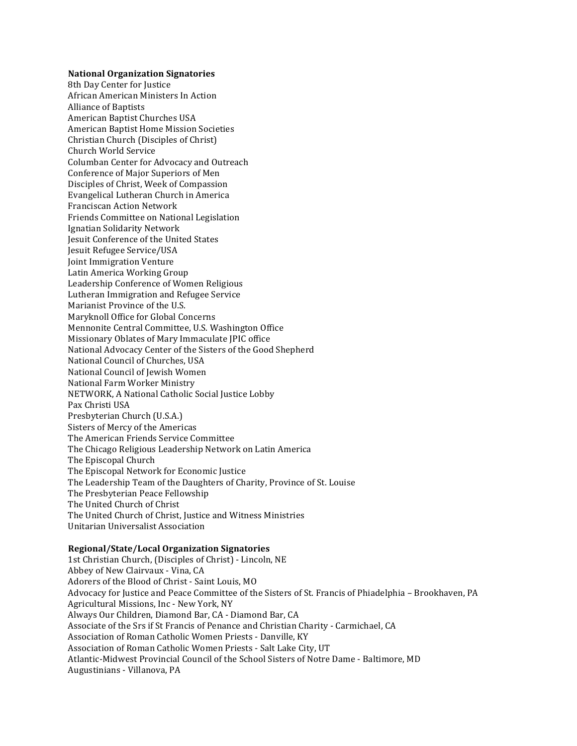### **National Organization Signatories**

8th Day Center for Justice African American Ministers In Action Alliance of Baptists American Baptist Churches USA American Baptist Home Mission Societies Christian Church (Disciples of Christ) Church World Service Columban Center for Advocacy and Outreach Conference of Major Superiors of Men Disciples of Christ, Week of Compassion Evangelical Lutheran Church in America Franciscan Action Network Friends Committee on National Legislation Ignatian Solidarity Network Jesuit Conference of the United States Jesuit Refugee Service/USA **Joint Immigration Venture** Latin America Working Group Leadership Conference of Women Religious Lutheran Immigration and Refugee Service Marianist Province of the U.S. Maryknoll Office for Global Concerns Mennonite Central Committee, U.S. Washington Office Missionary Oblates of Mary Immaculate JPIC office National Advocacy Center of the Sisters of the Good Shepherd National Council of Churches, USA National Council of Jewish Women National Farm Worker Ministry NETWORK, A National Catholic Social Justice Lobby Pax Christi USA Presbyterian Church (U.S.A.) Sisters of Mercy of the Americas The American Friends Service Committee The Chicago Religious Leadership Network on Latin America The Episcopal Church The Episcopal Network for Economic Justice The Leadership Team of the Daughters of Charity, Province of St. Louise The Presbyterian Peace Fellowship The United Church of Christ The United Church of Christ, Justice and Witness Ministries Unitarian Universalist Association

# **Regional/State/Local Organization Signatories**

1st Christian Church, (Disciples of Christ) - Lincoln, NE Abbey of New Clairvaux - Vina, CA Adorers of the Blood of Christ - Saint Louis, MO Advocacy for Justice and Peace Committee of the Sisters of St. Francis of Phiadelphia - Brookhaven, PA Agricultural Missions, Inc - New York, NY Always Our Children, Diamond Bar, CA - Diamond Bar, CA Associate of the Srs if St Francis of Penance and Christian Charity - Carmichael, CA Association of Roman Catholic Women Priests - Danville, KY Association of Roman Catholic Women Priests - Salt Lake City, UT Atlantic-Midwest Provincial Council of the School Sisters of Notre Dame - Baltimore, MD Augustinians - Villanova, PA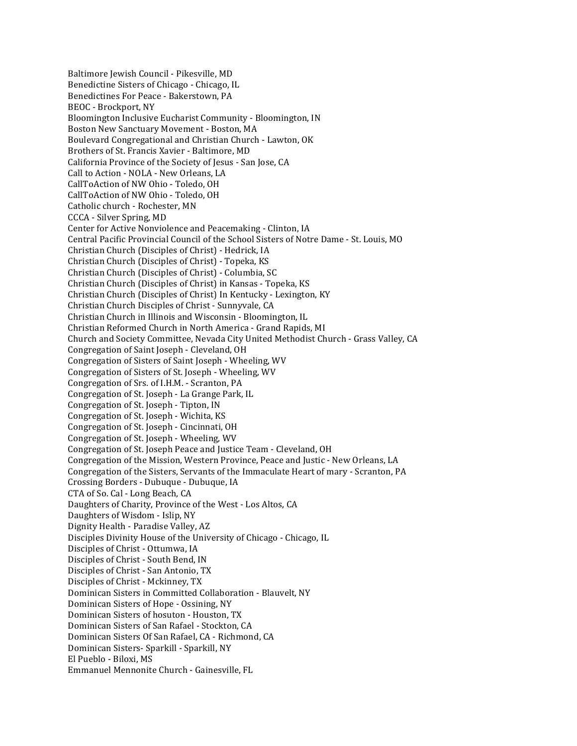Baltimore Jewish Council - Pikesville, MD Benedictine Sisters of Chicago - Chicago, IL Benedictines For Peace - Bakerstown, PA BEOC - Brockport, NY Bloomington Inclusive Eucharist Community - Bloomington, IN Boston New Sanctuary Movement - Boston, MA Boulevard Congregational and Christian Church - Lawton, OK Brothers of St. Francis Xavier - Baltimore, MD California Province of the Society of Jesus - San Jose, CA Call to Action - NOLA - New Orleans, LA CallToAction of NW Ohio - Toledo, OH CallToAction of NW Ohio - Toledo, OH Catholic church - Rochester, MN CCCA - Silver Spring, MD Center for Active Nonviolence and Peacemaking - Clinton, IA Central Pacific Provincial Council of the School Sisters of Notre Dame - St. Louis, MO Christian Church (Disciples of Christ) - Hedrick, IA Christian Church (Disciples of Christ) - Topeka, KS Christian Church (Disciples of Christ) - Columbia, SC Christian Church (Disciples of Christ) in Kansas - Topeka, KS Christian Church (Disciples of Christ) In Kentucky - Lexington, KY Christian Church Disciples of Christ - Sunnyvale, CA Christian Church in Illinois and Wisconsin - Bloomington, IL Christian Reformed Church in North America - Grand Rapids, MI Church and Society Committee, Nevada City United Methodist Church - Grass Valley, CA Congregation of Saint Joseph - Cleveland, OH Congregation of Sisters of Saint Joseph - Wheeling, WV Congregation of Sisters of St. Joseph - Wheeling, WV Congregation of Srs. of I.H.M. - Scranton, PA Congregation of St. Joseph - La Grange Park, IL Congregation of St. Joseph - Tipton, IN Congregation of St. Joseph - Wichita, KS Congregation of St. Joseph - Cincinnati, OH Congregation of St. Joseph - Wheeling, WV Congregation of St. Joseph Peace and Justice Team - Cleveland, OH Congregation of the Mission, Western Province, Peace and Justic - New Orleans, LA Congregation of the Sisters, Servants of the Immaculate Heart of mary - Scranton, PA Crossing Borders - Dubuque - Dubuque, IA CTA of So. Cal - Long Beach, CA Daughters of Charity, Province of the West - Los Altos, CA Daughters of Wisdom - Islip, NY Dignity Health - Paradise Valley, AZ Disciples Divinity House of the University of Chicago - Chicago, IL Disciples of Christ - Ottumwa, IA Disciples of Christ - South Bend, IN Disciples of Christ - San Antonio, TX Disciples of Christ - Mckinney, TX Dominican Sisters in Committed Collaboration - Blauvelt, NY Dominican Sisters of Hope - Ossining, NY Dominican Sisters of hosuton - Houston, TX Dominican Sisters of San Rafael - Stockton, CA Dominican Sisters Of San Rafael, CA - Richmond, CA Dominican Sisters- Sparkill - Sparkill, NY El Pueblo - Biloxi, MS Emmanuel Mennonite Church - Gainesville, FL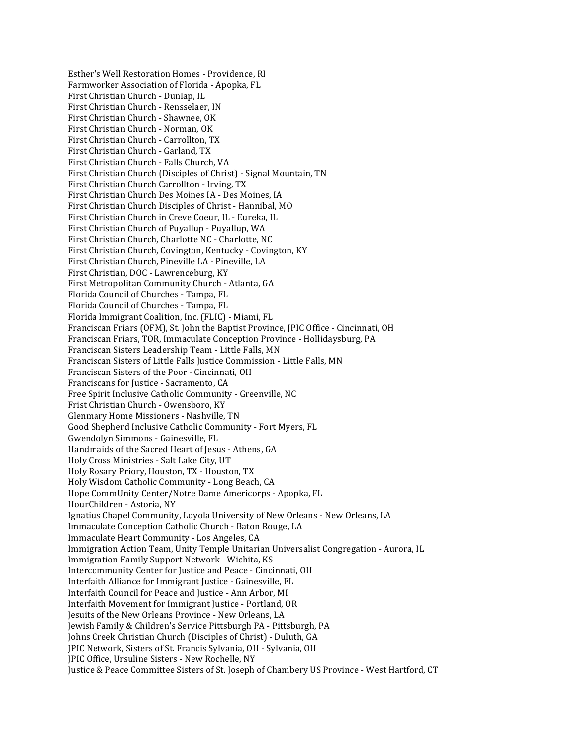Esther's Well Restoration Homes - Providence, RI Farmworker Association of Florida - Apopka, FL First Christian Church - Dunlap, IL First Christian Church - Rensselaer, IN First Christian Church - Shawnee, OK First Christian Church - Norman, OK First Christian Church - Carrollton, TX First Christian Church - Garland, TX First Christian Church - Falls Church, VA First Christian Church (Disciples of Christ) - Signal Mountain, TN First Christian Church Carrollton - Irving, TX First Christian Church Des Moines IA - Des Moines, IA First Christian Church Disciples of Christ - Hannibal, MO First Christian Church in Creve Coeur, IL - Eureka, IL First Christian Church of Puyallup - Puyallup, WA First Christian Church, Charlotte NC - Charlotte, NC First Christian Church, Covington, Kentucky - Covington, KY First Christian Church, Pineville LA - Pineville, LA First Christian, DOC - Lawrenceburg, KY First Metropolitan Community Church - Atlanta, GA Florida Council of Churches - Tampa, FL Florida Council of Churches - Tampa, FL Florida Immigrant Coalition, Inc. (FLIC) - Miami, FL Franciscan Friars (OFM), St. John the Baptist Province, JPIC Office - Cincinnati, OH Franciscan Friars, TOR, Immaculate Conception Province - Hollidaysburg, PA Franciscan Sisters Leadership Team - Little Falls, MN Franciscan Sisters of Little Falls Justice Commission - Little Falls, MN Franciscan Sisters of the Poor - Cincinnati, OH Franciscans for Justice - Sacramento, CA Free Spirit Inclusive Catholic Community - Greenville, NC Frist Christian Church - Owensboro, KY Glenmary Home Missioners - Nashville, TN Good Shepherd Inclusive Catholic Community - Fort Myers, FL Gwendolyn Simmons - Gainesville, FL Handmaids of the Sacred Heart of Jesus - Athens, GA Holy Cross Ministries - Salt Lake City, UT Holy Rosary Priory, Houston, TX - Houston, TX Holy Wisdom Catholic Community - Long Beach, CA Hope CommUnity Center/Notre Dame Americorps - Apopka, FL HourChildren - Astoria, NY Ignatius Chapel Community, Loyola University of New Orleans - New Orleans, LA Immaculate Conception Catholic Church - Baton Rouge, LA Immaculate Heart Community - Los Angeles, CA Immigration Action Team, Unity Temple Unitarian Universalist Congregation - Aurora, IL Immigration Family Support Network - Wichita, KS Intercommunity Center for Justice and Peace - Cincinnati, OH Interfaith Alliance for Immigrant Justice - Gainesville, FL Interfaith Council for Peace and Justice - Ann Arbor, MI Interfaith Movement for Immigrant Justice - Portland, OR Jesuits of the New Orleans Province - New Orleans, LA Jewish Family & Children's Service Pittsburgh PA - Pittsburgh, PA Johns Creek Christian Church (Disciples of Christ) - Duluth, GA JPIC Network, Sisters of St. Francis Sylvania, OH - Sylvania, OH JPIC Office, Ursuline Sisters - New Rochelle, NY Justice & Peace Committee Sisters of St. Joseph of Chambery US Province - West Hartford, CT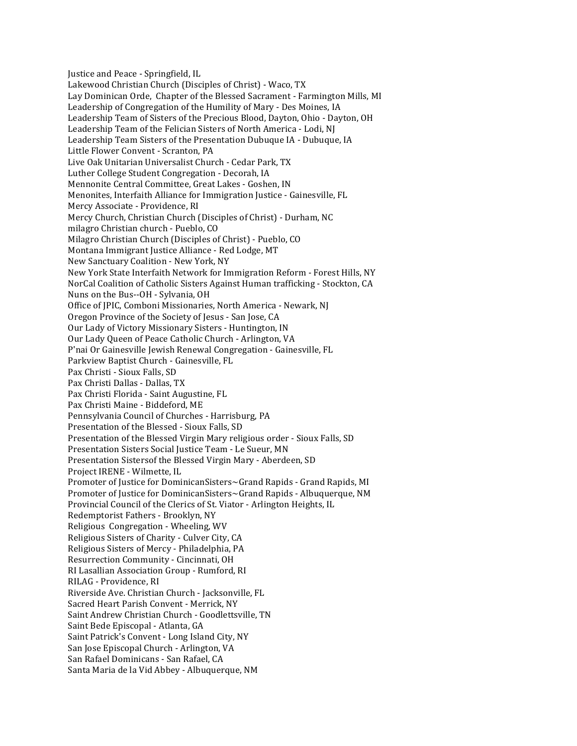Justice and Peace - Springfield, IL Lakewood Christian Church (Disciples of Christ) - Waco. TX Lay Dominican Orde, Chapter of the Blessed Sacrament - Farmington Mills, MI Leadership of Congregation of the Humility of Mary - Des Moines, IA Leadership Team of Sisters of the Precious Blood, Dayton, Ohio - Dayton, OH Leadership Team of the Felician Sisters of North America - Lodi, NJ Leadership Team Sisters of the Presentation Dubuque IA - Dubuque, IA Little Flower Convent - Scranton, PA Live Oak Unitarian Universalist Church - Cedar Park, TX Luther College Student Congregation - Decorah, IA Mennonite Central Committee, Great Lakes - Goshen, IN Menonites, Interfaith Alliance for Immigration Justice - Gainesville, FL Mercy Associate - Providence, RI Mercy Church, Christian Church (Disciples of Christ) - Durham, NC milagro Christian church - Pueblo, CO Milagro Christian Church (Disciples of Christ) - Pueblo, CO Montana Immigrant Justice Alliance - Red Lodge, MT New Sanctuary Coalition - New York, NY New York State Interfaith Network for Immigration Reform - Forest Hills, NY NorCal Coalition of Catholic Sisters Against Human trafficking - Stockton, CA Nuns on the Bus--OH - Sylvania, OH Office of JPIC, Comboni Missionaries, North America - Newark, NJ Oregon Province of the Society of Jesus - San Jose, CA Our Lady of Victory Missionary Sisters - Huntington, IN Our Lady Queen of Peace Catholic Church - Arlington, VA P'nai Or Gainesville Jewish Renewal Congregation - Gainesville, FL Parkview Baptist Church - Gainesville, FL Pax Christi - Sioux Falls, SD Pax Christi Dallas - Dallas, TX Pax Christi Florida - Saint Augustine, FL Pax Christi Maine - Biddeford, ME Pennsylvania Council of Churches - Harrisburg, PA Presentation of the Blessed - Sioux Falls, SD Presentation of the Blessed Virgin Mary religious order - Sioux Falls, SD Presentation Sisters Social Justice Team - Le Sueur, MN Presentation Sistersof the Blessed Virgin Mary - Aberdeen, SD Project IRENE - Wilmette, IL Promoter of Justice for DominicanSisters~Grand Rapids - Grand Rapids, MI Promoter of Justice for DominicanSisters~Grand Rapids - Albuquerque, NM Provincial Council of the Clerics of St. Viator - Arlington Heights, IL Redemptorist Fathers - Brooklyn, NY Religious Congregation - Wheeling, WV Religious Sisters of Charity - Culver City, CA Religious Sisters of Mercy - Philadelphia, PA Resurrection Community - Cincinnati, OH RI Lasallian Association Group - Rumford, RI RILAG - Providence, RI Riverside Ave. Christian Church - Jacksonville, FL Sacred Heart Parish Convent - Merrick, NY Saint Andrew Christian Church - Goodlettsville, TN Saint Bede Episcopal - Atlanta, GA Saint Patrick's Convent - Long Island City, NY San Jose Episcopal Church - Arlington, VA San Rafael Dominicans - San Rafael, CA Santa Maria de la Vid Abbey - Albuquerque, NM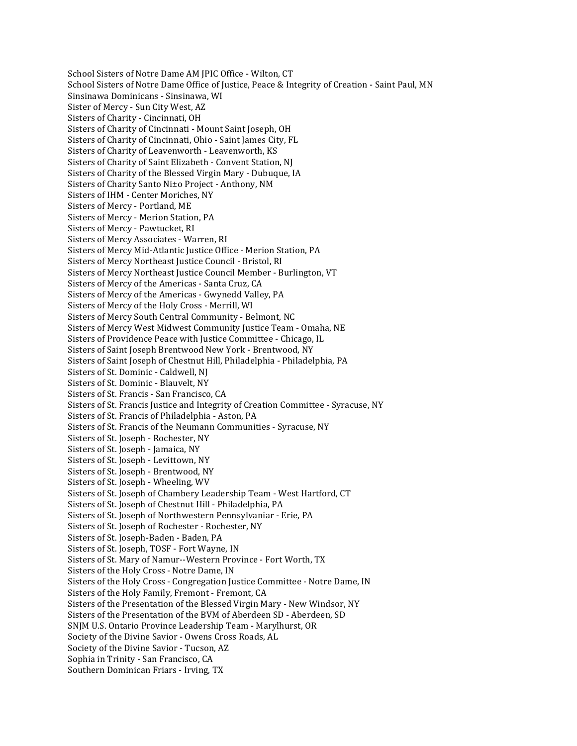School Sisters of Notre Dame AM JPIC Office - Wilton, CT School Sisters of Notre Dame Office of Justice, Peace & Integrity of Creation - Saint Paul, MN Sinsinawa Dominicans - Sinsinawa, WI Sister of Mercy - Sun City West, AZ Sisters of Charity - Cincinnati, OH Sisters of Charity of Cincinnati - Mount Saint Joseph, OH Sisters of Charity of Cincinnati, Ohio - Saint James City, FL Sisters of Charity of Leavenworth - Leavenworth, KS Sisters of Charity of Saint Elizabeth - Convent Station, NJ Sisters of Charity of the Blessed Virgin Mary - Dubuque, IA Sisters of Charity Santo Ni±o Project - Anthony, NM Sisters of IHM - Center Moriches, NY Sisters of Mercy - Portland, ME Sisters of Mercy - Merion Station, PA Sisters of Mercy - Pawtucket, RI Sisters of Mercy Associates - Warren, RI Sisters of Mercy Mid-Atlantic Justice Office - Merion Station, PA Sisters of Mercy Northeast Justice Council - Bristol, RI Sisters of Mercy Northeast Justice Council Member - Burlington, VT Sisters of Mercy of the Americas - Santa Cruz, CA Sisters of Mercy of the Americas - Gwynedd Valley, PA Sisters of Mercy of the Holy Cross - Merrill, WI Sisters of Mercy South Central Community - Belmont, NC Sisters of Mercy West Midwest Community Justice Team - Omaha, NE Sisters of Providence Peace with Justice Committee - Chicago, IL Sisters of Saint Joseph Brentwood New York - Brentwood, NY Sisters of Saint Joseph of Chestnut Hill, Philadelphia - Philadelphia, PA Sisters of St. Dominic - Caldwell, NJ Sisters of St. Dominic - Blauvelt, NY Sisters of St. Francis - San Francisco, CA Sisters of St. Francis Justice and Integrity of Creation Committee - Syracuse, NY Sisters of St. Francis of Philadelphia - Aston, PA Sisters of St. Francis of the Neumann Communities - Syracuse, NY Sisters of St. Joseph - Rochester, NY Sisters of St. Joseph - Jamaica, NY Sisters of St. Joseph - Levittown, NY Sisters of St. Joseph - Brentwood, NY Sisters of St. Joseph - Wheeling, WV Sisters of St. Joseph of Chambery Leadership Team - West Hartford, CT Sisters of St. Joseph of Chestnut Hill - Philadelphia, PA Sisters of St. Joseph of Northwestern Pennsylvaniar - Erie, PA Sisters of St. Joseph of Rochester - Rochester, NY Sisters of St. Joseph-Baden - Baden, PA Sisters of St. Joseph, TOSF - Fort Wayne, IN Sisters of St. Mary of Namur--Western Province - Fort Worth, TX Sisters of the Holy Cross - Notre Dame, IN Sisters of the Holy Cross - Congregation Justice Committee - Notre Dame, IN Sisters of the Holy Family, Fremont - Fremont, CA Sisters of the Presentation of the Blessed Virgin Mary - New Windsor, NY Sisters of the Presentation of the BVM of Aberdeen SD - Aberdeen, SD SNJM U.S. Ontario Province Leadership Team - Marylhurst, OR Society of the Divine Savior - Owens Cross Roads, AL Society of the Divine Savior - Tucson, AZ Sophia in Trinity - San Francisco, CA Southern Dominican Friars - Irving, TX